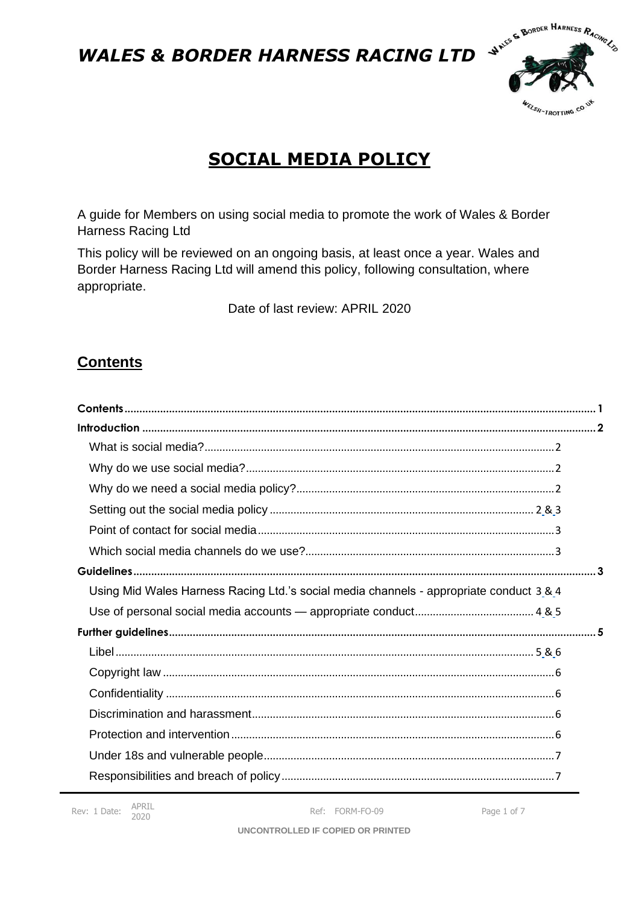

# **SOCIAL MEDIA POLICY**

A guide for Members on using social media to promote the work of Wales & Border Harness Racing Ltd

This policy will be reviewed on an ongoing basis, at least once a year. Wales and Border Harness Racing Ltd will amend this policy, following consultation, where appropriate.

Date of last review: APRIL 2020

# <span id="page-0-0"></span>**Contents**

| Using Mid Wales Harness Racing Ltd.'s social media channels - appropriate conduct 3 & 4 |  |
|-----------------------------------------------------------------------------------------|--|
|                                                                                         |  |
|                                                                                         |  |
|                                                                                         |  |
|                                                                                         |  |
|                                                                                         |  |
|                                                                                         |  |
|                                                                                         |  |
|                                                                                         |  |
|                                                                                         |  |

Ref: FORM-FO-09

Page 1 of 7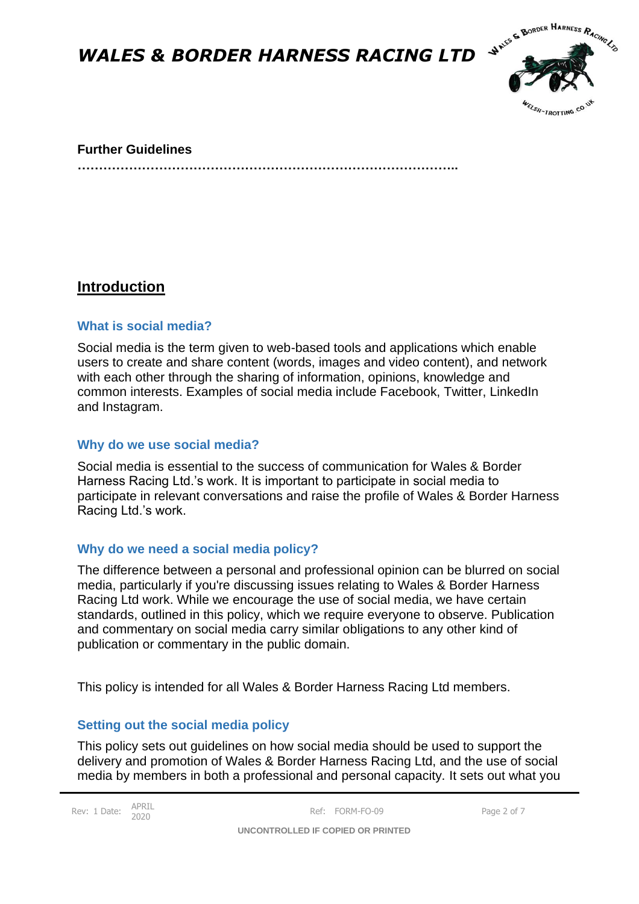

#### **Further Guidelines**

**……………………………………………………………………………..**

## <span id="page-1-0"></span>**Introduction**

#### <span id="page-1-1"></span>**What is social media?**

Social media is the term given to web-based tools and applications which enable users to create and share content (words, images and video content), and network with each other through the sharing of information, opinions, knowledge and common interests. Examples of social media include Facebook, Twitter, LinkedIn and Instagram.

#### <span id="page-1-2"></span>**Why do we use social media?**

Social media is essential to the success of communication for Wales & Border Harness Racing Ltd.'s work. It is important to participate in social media to participate in relevant conversations and raise the profile of Wales & Border Harness Racing Ltd.'s work.

#### <span id="page-1-3"></span>**Why do we need a social media policy?**

The difference between a personal and professional opinion can be blurred on social media, particularly if you're discussing issues relating to Wales & Border Harness Racing Ltd work. While we encourage the use of social media, we have certain standards, outlined in this policy, which we require everyone to observe. Publication and commentary on social media carry similar obligations to any other kind of publication or commentary in the public domain.

This policy is intended for all Wales & Border Harness Racing Ltd members.

#### <span id="page-1-4"></span>**Setting out the social media policy**

This policy sets out guidelines on how social media should be used to support the delivery and promotion of Wales & Border Harness Racing Ltd, and the use of social media by members in both a professional and personal capacity. It sets out what you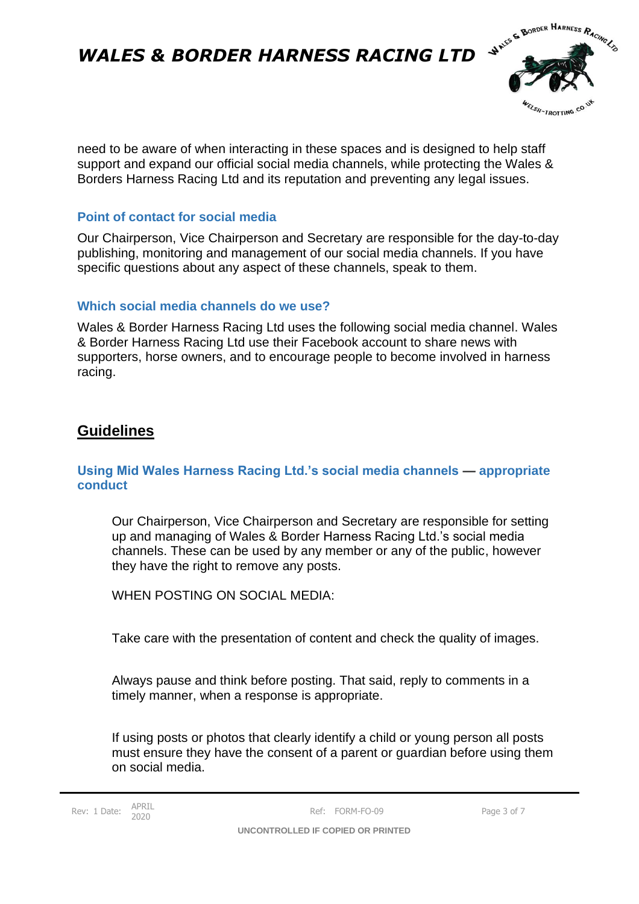

need to be aware of when interacting in these spaces and is designed to help staff support and expand our official social media channels, while protecting the Wales & Borders Harness Racing Ltd and its reputation and preventing any legal issues.

### <span id="page-2-0"></span>**Point of contact for social media**

Our Chairperson, Vice Chairperson and Secretary are responsible for the day-to-day publishing, monitoring and management of our social media channels. If you have specific questions about any aspect of these channels, speak to them.

### <span id="page-2-1"></span>**Which social media channels do we use?**

Wales & Border Harness Racing Ltd uses the following social media channel. Wales & Border Harness Racing Ltd use their Facebook account to share news with supporters, horse owners, and to encourage people to become involved in harness racing.

## <span id="page-2-2"></span>**Guidelines**

#### <span id="page-2-3"></span>**Using Mid Wales Harness Racing Ltd.'s social media channels — appropriate conduct**

Our Chairperson, Vice Chairperson and Secretary are responsible for setting up and managing of Wales & Border Harness Racing Ltd.'s social media channels. These can be used by any member or any of the public, however they have the right to remove any posts.

WHEN POSTING ON SOCIAL MEDIA:

Take care with the presentation of content and check the quality of images.

Always pause and think before posting. That said, reply to comments in a timely manner, when a response is appropriate.

If using posts or photos that clearly identify a child or young person all posts must ensure they have the consent of a parent or guardian before using them on social media.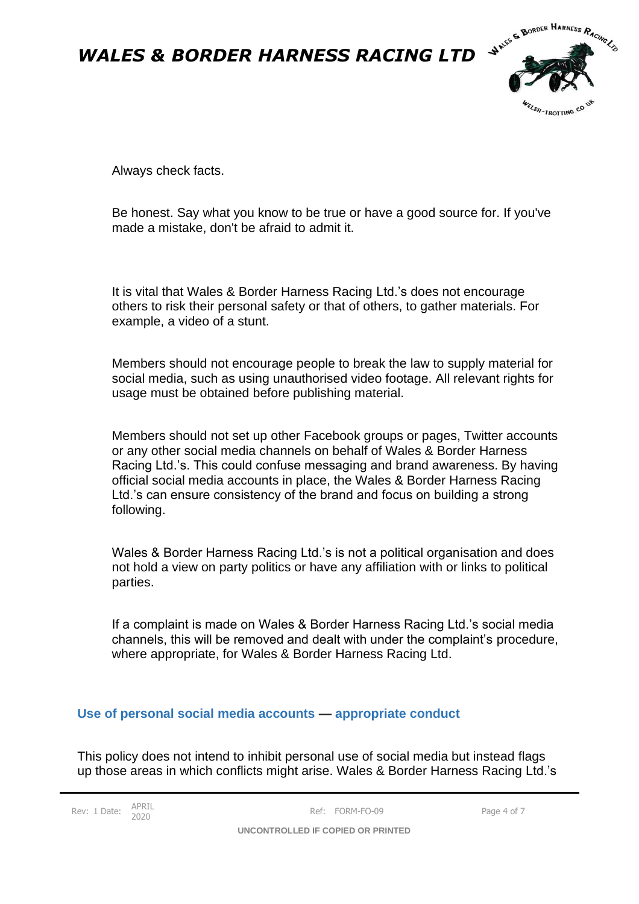

Always check facts.

Be honest. Say what you know to be true or have a good source for. If you've made a mistake, don't be afraid to admit it.

It is vital that Wales & Border Harness Racing Ltd.'s does not encourage others to risk their personal safety or that of others, to gather materials. For example, a video of a stunt.

Members should not encourage people to break the law to supply material for social media, such as using unauthorised video footage. All relevant rights for usage must be obtained before publishing material.

Members should not set up other Facebook groups or pages, Twitter accounts or any other social media channels on behalf of Wales & Border Harness Racing Ltd.'s. This could confuse messaging and brand awareness. By having official social media accounts in place, the Wales & Border Harness Racing Ltd.'s can ensure consistency of the brand and focus on building a strong following.

Wales & Border Harness Racing Ltd.'s is not a political organisation and does not hold a view on party politics or have any affiliation with or links to political parties.

If a complaint is made on Wales & Border Harness Racing Ltd.'s social media channels, this will be removed and dealt with under the complaint's procedure, where appropriate, for Wales & Border Harness Racing Ltd.

#### <span id="page-3-0"></span>**Use of personal social media accounts — appropriate conduct**

This policy does not intend to inhibit personal use of social media but instead flags up those areas in which conflicts might arise. Wales & Border Harness Racing Ltd.'s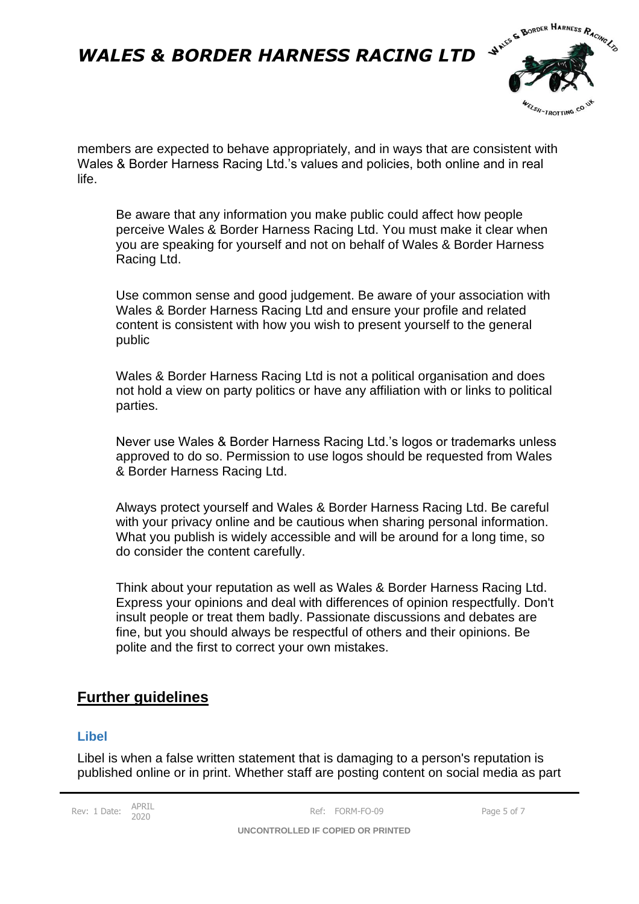

members are expected to behave appropriately, and in ways that are consistent with Wales & Border Harness Racing Ltd.'s values and policies, both online and in real life.

Be aware that any information you make public could affect how people perceive Wales & Border Harness Racing Ltd. You must make it clear when you are speaking for yourself and not on behalf of Wales & Border Harness Racing Ltd.

Use common sense and good judgement. Be aware of your association with Wales & Border Harness Racing Ltd and ensure your profile and related content is consistent with how you wish to present yourself to the general public

Wales & Border Harness Racing Ltd is not a political organisation and does not hold a view on party politics or have any affiliation with or links to political parties.

Never use Wales & Border Harness Racing Ltd.'s logos or trademarks unless approved to do so. Permission to use logos should be requested from Wales & Border Harness Racing Ltd.

Always protect yourself and Wales & Border Harness Racing Ltd. Be careful with your privacy online and be cautious when sharing personal information. What you publish is widely accessible and will be around for a long time, so do consider the content carefully.

Think about your reputation as well as Wales & Border Harness Racing Ltd. Express your opinions and deal with differences of opinion respectfully. Don't insult people or treat them badly. Passionate discussions and debates are fine, but you should always be respectful of others and their opinions. Be polite and the first to correct your own mistakes.

## <span id="page-4-0"></span>**Further guidelines**

#### <span id="page-4-1"></span>**Libel**

Libel is when a false written statement that is damaging to a person's reputation is published online or in print. Whether staff are posting content on social media as part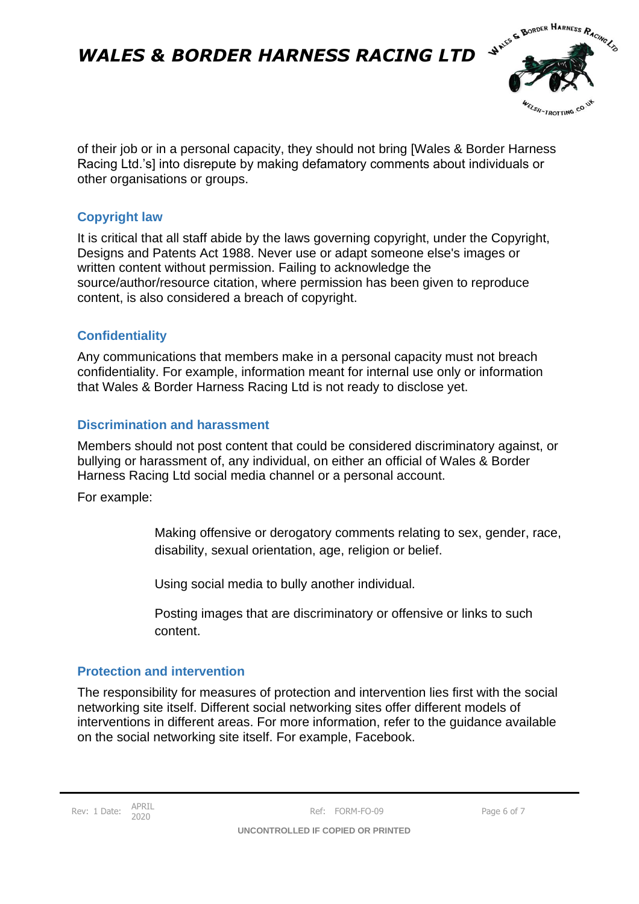

of their job or in a personal capacity, they should not bring [Wales & Border Harness Racing Ltd.'s] into disrepute by making defamatory comments about individuals or other organisations or groups.

### <span id="page-5-0"></span>**Copyright law**

It is critical that all staff abide by the laws governing copyright, under the Copyright, Designs and Patents Act 1988. Never use or adapt someone else's images or written content without permission. Failing to acknowledge the source/author/resource citation, where permission has been given to reproduce content, is also considered a breach of copyright.

### <span id="page-5-1"></span>**Confidentiality**

Any communications that members make in a personal capacity must not breach confidentiality. For example, information meant for internal use only or information that Wales & Border Harness Racing Ltd is not ready to disclose yet.

### <span id="page-5-2"></span>**Discrimination and harassment**

Members should not post content that could be considered discriminatory against, or bullying or harassment of, any individual, on either an official of Wales & Border Harness Racing Ltd social media channel or a personal account.

For example:

Making offensive or derogatory comments relating to sex, gender, race, disability, sexual orientation, age, religion or belief.

Using social media to bully another individual.

Posting images that are discriminatory or offensive or links to such content.

#### <span id="page-5-3"></span>**Protection and intervention**

The responsibility for measures of protection and intervention lies first with the social networking site itself. Different social networking sites offer different models of interventions in different areas. For more information, refer to the guidance available on the social networking site itself. For example, Facebook.